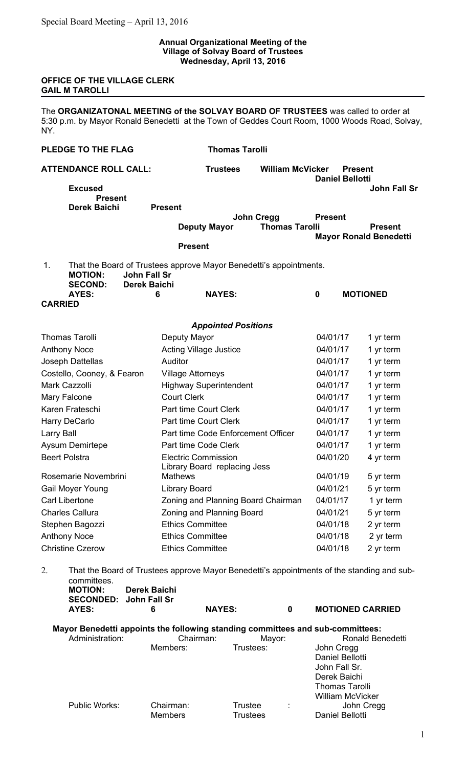## **Annual Organizational Meeting of the Village of Solvay Board of Trustees Wednesday, April 13, 2016**

## **OFFICE OF THE VILLAGE CLERK GAIL M TAROLLI**

The **ORGANIZATONAL MEETING of the SOLVAY BOARD OF TRUSTEES** was called to order at 5:30 p.m. by Mayor Ronald Benedetti at the Town of Geddes Court Room, 1000 Woods Road, Solvay, NY.

| <b>PLEDGE TO THE FLAG</b> |                                  |                                            |                          | <b>Thomas Tarolli</b>                                      |                                                                                            |                             |                                          |                                                 |
|---------------------------|----------------------------------|--------------------------------------------|--------------------------|------------------------------------------------------------|--------------------------------------------------------------------------------------------|-----------------------------|------------------------------------------|-------------------------------------------------|
|                           | <b>ATTENDANCE ROLL CALL:</b>     |                                            |                          | <b>Trustees</b>                                            | <b>William McVicker</b>                                                                    |                             | <b>Present</b><br><b>Daniel Bellotti</b> |                                                 |
|                           | <b>Excused</b><br><b>Present</b> |                                            |                          |                                                            |                                                                                            |                             |                                          | <b>John Fall Sr</b>                             |
|                           | <b>Derek Baichi</b>              |                                            | <b>Present</b>           |                                                            | <b>John Cregg</b>                                                                          | <b>Present</b>              |                                          |                                                 |
|                           |                                  |                                            |                          | <b>Deputy Mayor</b>                                        | <b>Thomas Tarolli</b>                                                                      |                             |                                          | <b>Present</b><br><b>Mayor Ronald Benedetti</b> |
|                           |                                  |                                            | <b>Present</b>           |                                                            |                                                                                            |                             |                                          |                                                 |
| 1.                        | <b>MOTION:</b><br><b>SECOND:</b> | <b>John Fall Sr</b><br><b>Derek Baichi</b> |                          |                                                            | That the Board of Trustees approve Mayor Benedetti's appointments.                         |                             |                                          |                                                 |
| <b>CARRIED</b>            | <b>AYES:</b>                     |                                            | 6                        | <b>NAYES:</b>                                              |                                                                                            | $\boldsymbol{0}$            | <b>MOTIONED</b>                          |                                                 |
|                           |                                  |                                            |                          | <b>Appointed Positions</b>                                 |                                                                                            |                             |                                          |                                                 |
|                           | <b>Thomas Tarolli</b>            |                                            | Deputy Mayor             |                                                            |                                                                                            | 04/01/17                    |                                          | 1 yr term                                       |
|                           | <b>Anthony Noce</b>              |                                            |                          | <b>Acting Village Justice</b>                              |                                                                                            | 04/01/17                    |                                          | 1 yr term                                       |
|                           | Joseph Dattellas                 |                                            | Auditor                  |                                                            |                                                                                            | 04/01/17                    |                                          | 1 yr term                                       |
|                           | Costello, Cooney, & Fearon       |                                            | <b>Village Attorneys</b> |                                                            |                                                                                            | 04/01/17                    |                                          | 1 yr term                                       |
| <b>Mark Cazzolli</b>      |                                  |                                            |                          | <b>Highway Superintendent</b>                              |                                                                                            | 04/01/17                    |                                          | 1 yr term                                       |
| Mary Falcone              |                                  |                                            | <b>Court Clerk</b>       |                                                            |                                                                                            | 04/01/17                    |                                          | 1 yr term                                       |
|                           | Karen Frateschi                  |                                            |                          | <b>Part time Court Clerk</b>                               |                                                                                            | 04/01/17                    |                                          | 1 yr term                                       |
|                           | Harry DeCarlo                    |                                            |                          | Part time Court Clerk                                      |                                                                                            | 04/01/17                    |                                          | 1 yr term                                       |
| Larry Ball                |                                  |                                            |                          | Part time Code Enforcement Officer                         |                                                                                            | 04/01/17                    |                                          | 1 yr term                                       |
|                           | <b>Aysum Demirtepe</b>           |                                            |                          | Part time Code Clerk                                       |                                                                                            | 04/01/17                    |                                          | 1 yr term                                       |
| <b>Beert Polstra</b>      |                                  |                                            |                          | <b>Electric Commission</b><br>Library Board replacing Jess |                                                                                            | 04/01/20                    |                                          | 4 yr term                                       |
|                           | Rosemarie Novembrini             |                                            | <b>Mathews</b>           |                                                            |                                                                                            | 04/01/19                    |                                          | 5 yr term                                       |
|                           | Gail Moyer Young                 |                                            | <b>Library Board</b>     |                                                            |                                                                                            | 04/01/21                    |                                          | 5 yr term                                       |
|                           | Carl Libertone                   |                                            |                          | Zoning and Planning Board Chairman                         |                                                                                            | 04/01/17                    |                                          | 1 yr term                                       |
|                           | <b>Charles Callura</b>           |                                            |                          | Zoning and Planning Board                                  |                                                                                            | 04/01/21                    |                                          | 5 yr term                                       |
|                           | Stephen Bagozzi                  |                                            |                          | <b>Ethics Committee</b>                                    |                                                                                            | 04/01/18                    |                                          | 2 yr term                                       |
|                           | <b>Anthony Noce</b>              |                                            |                          | <b>Ethics Committee</b>                                    |                                                                                            | 04/01/18                    |                                          | 2 yr term                                       |
|                           | <b>Christine Czerow</b>          |                                            | <b>Ethics Committee</b>  |                                                            |                                                                                            | 04/01/18                    |                                          | 2 yr term                                       |
| 2.                        | committees.<br><b>MOTION:</b>    |                                            | <b>Derek Baichi</b>      |                                                            | That the Board of Trustees approve Mayor Benedetti's appointments of the standing and sub- |                             |                                          |                                                 |
|                           | <b>SECONDED:</b><br>AYES:        | John Fall Sr                               | 6                        | <b>NAYES:</b>                                              | $\mathbf 0$                                                                                |                             |                                          | <b>MOTIONED CARRIED</b>                         |
|                           |                                  |                                            |                          |                                                            | Mayor Benedetti appoints the following standing committees and sub-committees:             |                             |                                          |                                                 |
|                           | Administration:                  |                                            |                          | Chairman:                                                  | Mayor:                                                                                     |                             |                                          | Ronald Benedetti                                |
|                           |                                  |                                            | Members:                 | Trustees:                                                  |                                                                                            | John Cregg<br>John Fall Sr. | Daniel Bellotti                          |                                                 |

Public Works: Chairman: Trustee : John Cregg

Members Trustees Daniel Bellotti

Derek Baichi Thomas Tarolli William McVicker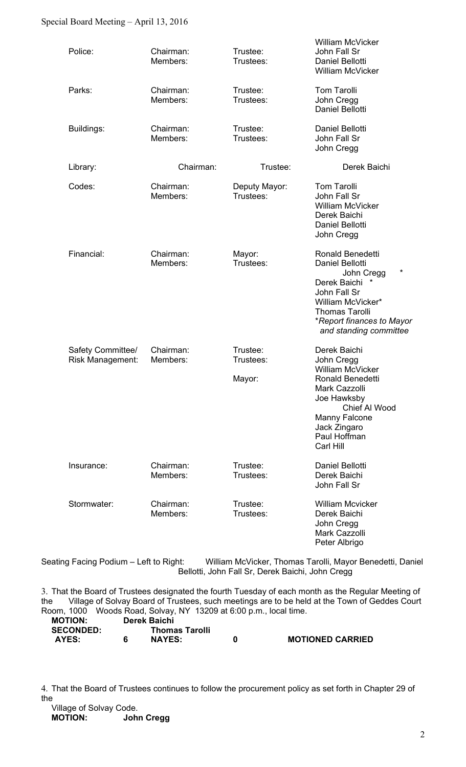## Special Board Meeting – April 13, 2016

| Police:                               | Chairman:<br>Members: | Trustee:<br>Trustees:           | <b>William McVicker</b><br>John Fall Sr<br>Daniel Bellotti<br>William McVicker                                                                                                                   |
|---------------------------------------|-----------------------|---------------------------------|--------------------------------------------------------------------------------------------------------------------------------------------------------------------------------------------------|
| Parks:                                | Chairman:<br>Members: | Trustee:<br>Trustees:           | <b>Tom Tarolli</b><br>John Cregg<br>Daniel Bellotti                                                                                                                                              |
| Buildings:                            | Chairman:<br>Members: | Trustee:<br>Trustees:           | Daniel Bellotti<br>John Fall Sr<br>John Cregg                                                                                                                                                    |
| Library:                              | Chairman:             | Trustee:                        | Derek Baichi                                                                                                                                                                                     |
| Codes:                                | Chairman:<br>Members: | Deputy Mayor:<br>Trustees:      | <b>Tom Tarolli</b><br>John Fall Sr<br><b>William McVicker</b><br>Derek Baichi<br>Daniel Bellotti<br>John Cregg                                                                                   |
| Financial:                            | Chairman:<br>Members: | Mayor:<br>Trustees:             | Ronald Benedetti<br>Daniel Bellotti<br>*<br>John Cregg<br>Derek Baichi<br>*<br>John Fall Sr<br>William McVicker*<br><b>Thomas Tarolli</b><br>*Report finances to Mayor<br>and standing committee |
| Safety Committee/<br>Risk Management: | Chairman:<br>Members: | Trustee:<br>Trustees:<br>Mayor: | Derek Baichi<br>John Cregg<br>William McVicker<br><b>Ronald Benedetti</b><br>Mark Cazzolli<br>Joe Hawksby<br>Chief Al Wood<br>Manny Falcone<br>Jack Zingaro<br>Paul Hoffman<br>Carl Hill         |
| Insurance:                            | Chairman:<br>Members: | Trustee:<br>Trustees:           | Daniel Bellotti<br>Derek Baichi<br>John Fall Sr                                                                                                                                                  |
| Stormwater:                           | Chairman:<br>Members: | Trustee:<br>Trustees:           | <b>William Mcvicker</b><br>Derek Baichi<br>John Cregg<br>Mark Cazzolli<br>Peter Albrigo                                                                                                          |

Seating Facing Podium - Left to Right: William McVicker, Thomas Tarolli, Mayor Benedetti, Daniel Bellotti, John Fall Sr, Derek Baichi, John Cregg

3. That the Board of Trustees designated the fourth Tuesday of each month as the Regular Meeting of the Village of Solvay Board of Trustees, such meetings are to be held at the Town of Geddes Court Room, 1000 Woods Road, Solvay, NY 13209 at 6:00 p.m., local time.<br> **MOTION:** Derek Baichi **MOTION: Derek Baichi** 

| <b>SECONDED:</b> | <b>Thomas Tarolli</b> |                         |
|------------------|-----------------------|-------------------------|
| AYES:            | <b>NAYES:</b>         | <b>MOTIONED CARRIED</b> |
|                  |                       |                         |

4. That the Board of Trustees continues to follow the procurement policy as set forth in Chapter 29 of the

| Village of Solvay Code. |                   |
|-------------------------|-------------------|
| <b>MOTION:</b>          | <b>John Cregg</b> |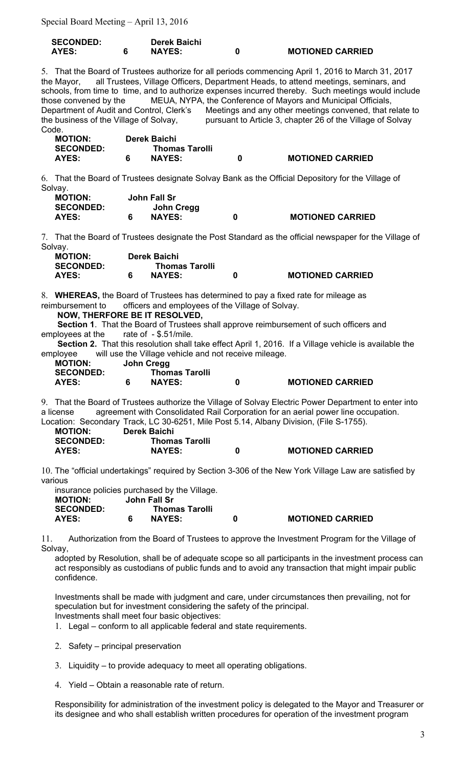Special Board Meeting – April 13, 2016

| <b>SECONDED:</b> | <b>Derek Baichi</b> |                         |
|------------------|---------------------|-------------------------|
| AYES:            | <b>NAYES:</b>       | <b>MOTIONED CARRIED</b> |

5. That the Board of Trustees authorize for all periods commencing April 1, 2016 to March 31, 2017 the Mayor, all Trustees, Village Officers, Department Heads, to attend meetings, seminars, and schools, from time to time, and to authorize expenses incurred thereby. Such meetings would include those convened by the MEUA, NYPA, the Conference of Mayors and Municipal Officials, Department of Audit and Control, Clerk's Meetings and any other meetings convened, that relate to the business of the Village of Solvay, pursuant to Article 3, chapter 26 of the Village of Solvay Code.

| <b>MOTION:</b>   | Derek Baichi          |                         |
|------------------|-----------------------|-------------------------|
| <b>SECONDED:</b> | <b>Thomas Tarolli</b> |                         |
| AYES:            | <b>NAYES:</b>         | <b>MOTIONED CARRIED</b> |

6. That the Board of Trustees designate Solvay Bank as the Official Depository for the Village of Solvay.

| <b>MOTION:</b>   | John Fall Sr  |                         |
|------------------|---------------|-------------------------|
| <b>SECONDED:</b> | John Cregg    |                         |
| AYES:            | <b>NAYES:</b> | <b>MOTIONED CARRIED</b> |

7. That the Board of Trustees designate the Post Standard as the official newspaper for the Village of Solvay.

| <b>MOTION:</b>   | Derek Baichi          |                         |
|------------------|-----------------------|-------------------------|
| <b>SECONDED:</b> | <b>Thomas Tarolli</b> |                         |
| AYES:            | <b>NAYES:</b>         | <b>MOTIONED CARRIED</b> |

8. **WHEREAS,** the Board of Trustees has determined to pay a fixed rate for mileage as reimbursement to officers and employees of the Village of Solvay.

 **NOW, THERFORE BE IT RESOLVED,** 

 **Section 1**. That the Board of Trustees shall approve reimbursement of such officers and employees at the rate of - \$.51/mile.

 **Section 2.** That this resolution shall take effect April 1, 2016. If a Village vehicle is available the employee will use the Village vehicle and not receive mileage.

| <b>MOTION:</b>   | John Cregg            |                         |
|------------------|-----------------------|-------------------------|
| <b>SECONDED:</b> | <b>Thomas Tarolli</b> |                         |
| AYES:            | <b>NAYES:</b>         | <b>MOTIONED CARRIED</b> |

9. That the Board of Trustees authorize the Village of Solvay Electric Power Department to enter into a license agreement with Consolidated Rail Corporation for an aerial power line occupation. Location: Secondary Track, LC 30-6251, Mile Post 5.14, Albany Division, (File S-1755).

| <b>MOTION:</b>   | Derek Baichi          |   |                         |
|------------------|-----------------------|---|-------------------------|
| <b>SECONDED:</b> | <b>Thomas Tarolli</b> |   |                         |
| AYES:            | <b>NAYES:</b>         | 0 | <b>MOTIONED CARRIED</b> |

10. The "official undertakings" required by Section 3-306 of the New York Village Law are satisfied by various

| insurance policies purchased by the Village. |   |                       |   |                         |  |  |
|----------------------------------------------|---|-----------------------|---|-------------------------|--|--|
| <b>MOTION:</b>                               |   | John Fall Sr          |   |                         |  |  |
| <b>SECONDED:</b>                             |   | <b>Thomas Tarolli</b> |   |                         |  |  |
| AYES:                                        | 6 | <b>NAYES:</b>         | o | <b>MOTIONED CARRIED</b> |  |  |

11. Authorization from the Board of Trustees to approve the Investment Program for the Village of Solvay,

adopted by Resolution, shall be of adequate scope so all participants in the investment process can act responsibly as custodians of public funds and to avoid any transaction that might impair public confidence.

Investments shall be made with judgment and care, under circumstances then prevailing, not for speculation but for investment considering the safety of the principal. Investments shall meet four basic objectives:

1. Legal – conform to all applicable federal and state requirements.

- 2. Safety principal preservation
- 3. Liquidity to provide adequacy to meet all operating obligations.
- 4. Yield Obtain a reasonable rate of return.

Responsibility for administration of the investment policy is delegated to the Mayor and Treasurer or its designee and who shall establish written procedures for operation of the investment program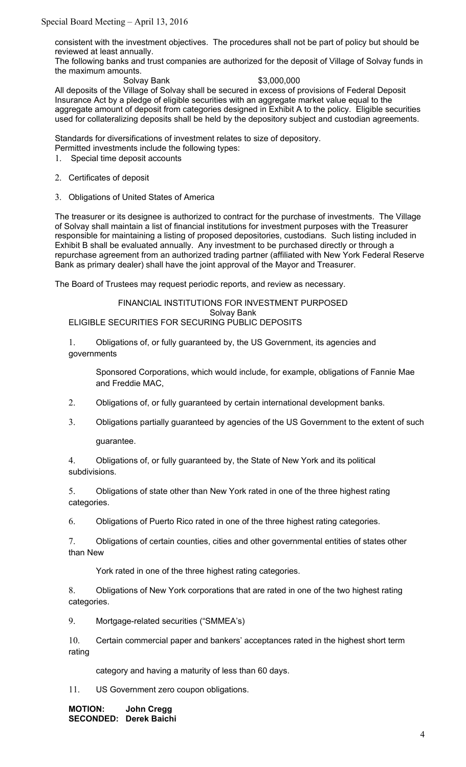consistent with the investment objectives. The procedures shall not be part of policy but should be reviewed at least annually.

The following banks and trust companies are authorized for the deposit of Village of Solvay funds in the maximum amounts.

Solvay Bank  $$3,000,000$ All deposits of the Village of Solvay shall be secured in excess of provisions of Federal Deposit Insurance Act by a pledge of eligible securities with an aggregate market value equal to the aggregate amount of deposit from categories designed in Exhibit A to the policy. Eligible securities used for collateralizing deposits shall be held by the depository subject and custodian agreements.

Standards for diversifications of investment relates to size of depository. Permitted investments include the following types:

- 1. Special time deposit accounts
- 2. Certificates of deposit
- 3. Obligations of United States of America

The treasurer or its designee is authorized to contract for the purchase of investments. The Village of Solvay shall maintain a list of financial institutions for investment purposes with the Treasurer responsible for maintaining a listing of proposed depositories, custodians. Such listing included in Exhibit B shall be evaluated annually. Any investment to be purchased directly or through a repurchase agreement from an authorized trading partner (affiliated with New York Federal Reserve Bank as primary dealer) shall have the joint approval of the Mayor and Treasurer.

The Board of Trustees may request periodic reports, and review as necessary.

FINANCIAL INSTITUTIONS FOR INVESTMENT PURPOSED Solvay Bank ELIGIBLE SECURITIES FOR SECURING PUBLIC DEPOSITS

1. Obligations of, or fully guaranteed by, the US Government, its agencies and governments

Sponsored Corporations, which would include, for example, obligations of Fannie Mae and Freddie MAC,

- 2. Obligations of, or fully guaranteed by certain international development banks.
- 3. Obligations partially guaranteed by agencies of the US Government to the extent of such

guarantee.

4. Obligations of, or fully guaranteed by, the State of New York and its political subdivisions.

5. Obligations of state other than New York rated in one of the three highest rating categories.

6. Obligations of Puerto Rico rated in one of the three highest rating categories.

7. Obligations of certain counties, cities and other governmental entities of states other than New

York rated in one of the three highest rating categories.

8. Obligations of New York corporations that are rated in one of the two highest rating categories.

9. Mortgage-related securities ("SMMEA's)

10. Certain commercial paper and bankers' acceptances rated in the highest short term rating

category and having a maturity of less than 60 days.

11. US Government zero coupon obligations.

**MOTION: John Cregg SECONDED: Derek Baichi**